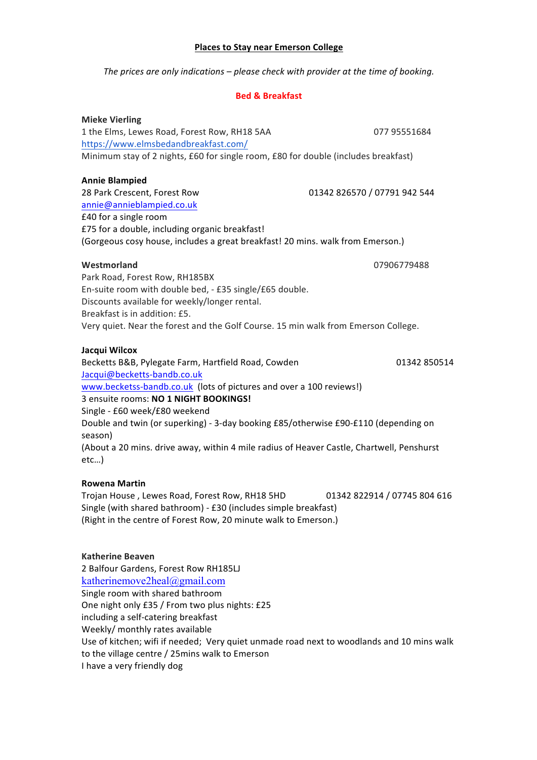## **Places to Stay near Emerson College**

The prices are only indications  $-$  please check with provider at the time of booking.

## **Bed & Breakfast**

**Mieke Vierling** 1 the Elms, Lewes Road, Forest Row, RH18 5AA 077 95551684 https://www.elmsbedandbreakfast.com/ Minimum stay of 2 nights, £60 for single room, £80 for double (includes breakfast)

## **Annie Blampied**

28 Park Crescent. Forest Row 01342 826570 / 07791 942 544 annie@annieblampied.co.uk £40 for a single room £75 for a double, including organic breakfast! (Gorgeous cosy house, includes a great breakfast! 20 mins. walk from Emerson.)

## Westmorland

07906779488

Park Road, Forest Row, RH185BX En-suite room with double bed, - £35 single/£65 double. Discounts available for weekly/longer rental. Breakfast is in addition: £5. Very quiet. Near the forest and the Golf Course. 15 min walk from Emerson College.

## Jacqui Wilcox

Becketts B&B, Pylegate Farm, Hartfield Road, Cowden 01342 850514 Jacqui@becketts-bandb.co.uk www.becketss-bandb.co.uk (lots of pictures and over a 100 reviews!) 3 ensuite rooms: NO 1 NIGHT BOOKINGS! Single - £60 week/£80 weekend Double and twin (or superking) - 3-day booking £85/otherwise £90-£110 (depending on season) (About a 20 mins. drive away, within 4 mile radius of Heaver Castle, Chartwell, Penshurst  $etc...$ )

## **Rowena Martin**

Trojan House, Lewes Road, Forest Row, RH18 5HD 01342 822914 / 07745 804 616 Single (with shared bathroom) - £30 (includes simple breakfast) (Right in the centre of Forest Row, 20 minute walk to Emerson.)

## **Katherine Beaven**

2 Balfour Gardens, Forest Row RH185LJ katherinemove2heal@gmail.com Single room with shared bathroom One night only £35 / From two plus nights: £25 including a self-catering breakfast Weekly/ monthly rates available Use of kitchen; wifi if needed; Very quiet unmade road next to woodlands and 10 mins walk to the village centre / 25 mins walk to Emerson I have a very friendly dog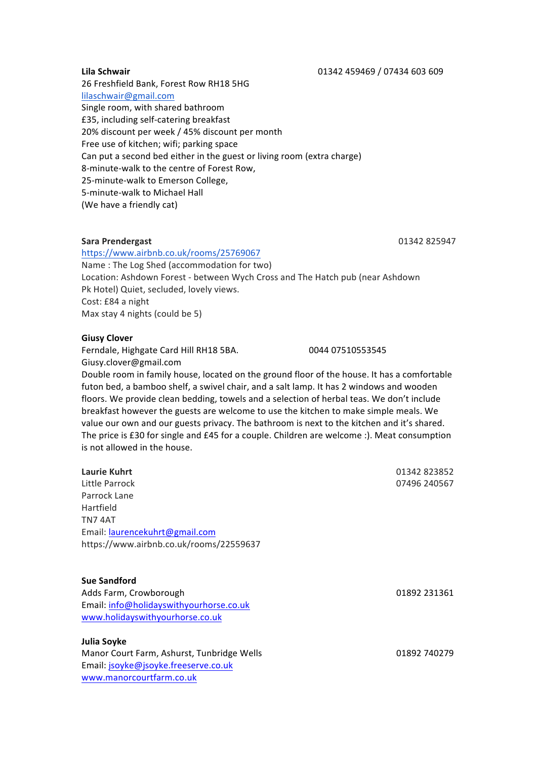26 Freshfield Bank, Forest Row RH18 5HG lilaschwair@gmail.com Single room, with shared bathroom £35, including self-catering breakfast 20% discount per week / 45% discount per month Free use of kitchen; wifi; parking space Can put a second bed either in the guest or living room (extra charge) 8-minute-walk to the centre of Forest Row, 25-minute-walk to Emerson College, 5-minute-walk to Michael Hall (We have a friendly cat)

## **Sara Prendergast 1988 CONSERVING CONSERVATION 120 AND 1342 825947**

## https://www.airbnb.co.uk/rooms/25769067

Name: The Log Shed (accommodation for two) Location: Ashdown Forest - between Wych Cross and The Hatch pub (near Ashdown Pk Hotel) Quiet, secluded, lovely views. Cost: £84 a night Max stay 4 nights (could be 5)

## **Giusy'Clover**

Ferndale, Highgate Card Hill RH18 5BA. 0044 07510553545 Giusy.clover@gmail.com

Double room in family house, located on the ground floor of the house. It has a comfortable futon bed, a bamboo shelf, a swivel chair, and a salt lamp. It has 2 windows and wooden floors. We provide clean bedding, towels and a selection of herbal teas. We don't include breakfast however the guests are welcome to use the kitchen to make simple meals. We value our own and our guests privacy. The bathroom is next to the kitchen and it's shared. The price is £30 for single and £45 for a couple. Children are welcome :). Meat consumption is not allowed in the house.

| 01342823852  |
|--------------|
| 07496 240567 |
|              |
|              |
|              |
|              |
|              |
|              |

## **Sue'Sandford**

Adds Farm, Crowborough **1988** 231361 Email: info@holidayswithyourhorse.co.uk www.holidayswithyourhorse.co.uk

## **Julia'Soyke**

Manor Court Farm, Ashurst, Tunbridge Wells  $101892$  740279 Email: jsoyke@jsoyke.freeserve.co.uk www.manorcourtfarm.co.uk

#### **Lila'Schwair ''''**01342!459469!/!07434!603!609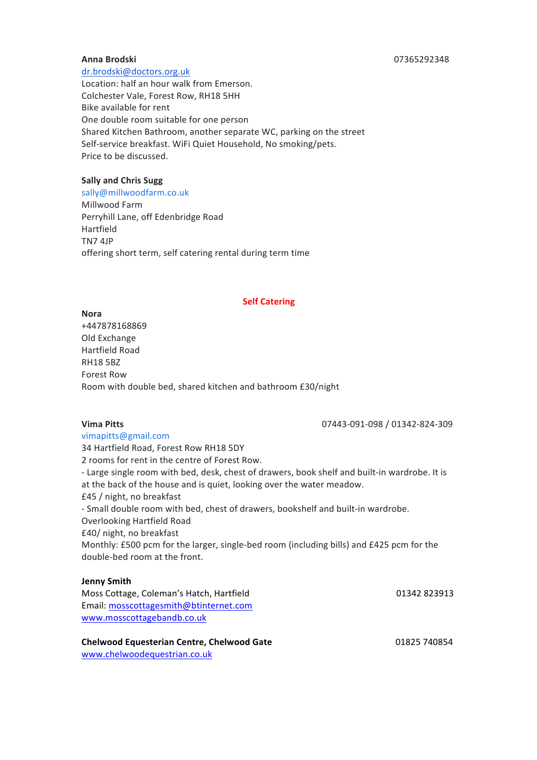#### **Anna'Brodski** !!!!!!!!!07365292348!

dr.brodski@doctors.org.uk

Location: half an hour walk from Emerson. Colchester Vale, Forest Row, RH18 5HH Bike available for rent One double room suitable for one person Shared Kitchen Bathroom, another separate WC, parking on the street Self-service breakfast. WiFi Quiet Household, No smoking/pets. Price to be discussed.

## **Sally and Chris Sugg**

sally@millwoodfarm.co.uk Millwood Farm Perryhill Lane, off Edenbridge Road Hartfield TN7!4JP offering short term, self catering rental during term time

#### **Self Catering**

**Nora** +447878168869 Old Exchange Hartfield!Road **RH18 5BZ** Forest Row Room with double bed, shared kitchen and bathroom £30/night

**Vima Pitts 1988 Vima Pitts 1988 CONSUMER 1998 CONSUMER 1998 CONSUMER 1998 CONSUMER 1998 CONSUMER 1999** 

vimapitts@gmail.com 34 Hartfield Road, Forest Row RH18 5DY 2 rooms for rent in the centre of Forest Row. - Large single room with bed, desk, chest of drawers, book shelf and built-in wardrobe. It is at the back of the house and is quiet, looking over the water meadow. £45 / night, no breakfast - Small double room with bed, chest of drawers, bookshelf and built-in wardrobe. Overlooking Hartfield Road £40/ night, no breakfast Monthly: £500 pcm for the larger, single-bed room (including bills) and £425 pcm for the double-bed room at the front.

## **Jenny'Smith**

| Moss Cottage, Coleman's Hatch, Hartfield |  |
|------------------------------------------|--|
| Email: mosscottagesmith@btinternet.com   |  |
| www.mosscottagebandb.co.uk               |  |

**Chelwood'Equesterian'Centre,'Chelwood'Gate''''''''''''''''''''''''''''''''''''''''''''''''''''''** 01825!740854

www.chelwoodequestrian.co.uk

01342 823913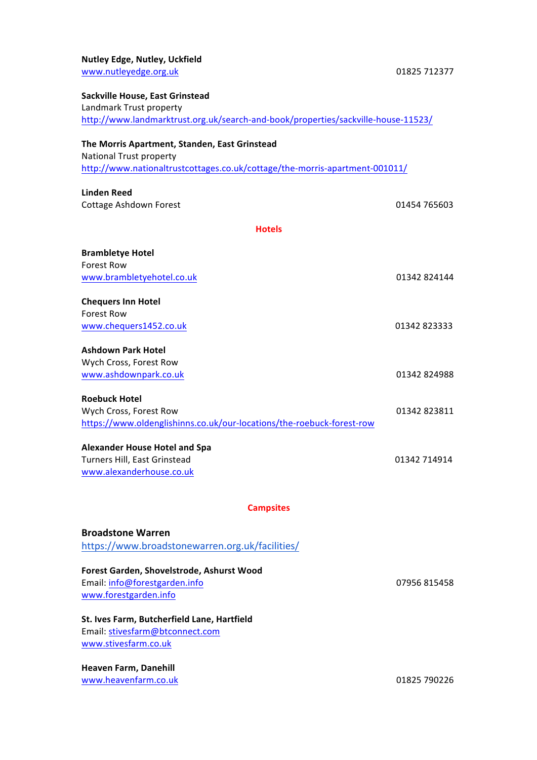| <b>Nutley Edge, Nutley, Uckfield</b>                                              |              |
|-----------------------------------------------------------------------------------|--------------|
| www.nutleyedge.org.uk                                                             | 01825 712377 |
| Sackville House, East Grinstead                                                   |              |
| Landmark Trust property                                                           |              |
| http://www.landmarktrust.org.uk/search-and-book/properties/sackville-house-11523/ |              |
|                                                                                   |              |
| The Morris Apartment, Standen, East Grinstead                                     |              |
| National Trust property                                                           |              |
| http://www.nationaltrustcottages.co.uk/cottage/the-morris-apartment-001011/       |              |
| <b>Linden Reed</b>                                                                |              |
| <b>Cottage Ashdown Forest</b>                                                     | 01454 765603 |
| <b>Hotels</b>                                                                     |              |
|                                                                                   |              |
| <b>Brambletye Hotel</b>                                                           |              |
| <b>Forest Row</b>                                                                 |              |
| www.brambletyehotel.co.uk                                                         | 01342 824144 |
| <b>Chequers Inn Hotel</b>                                                         |              |
| <b>Forest Row</b>                                                                 |              |
| www.chequers1452.co.uk                                                            | 01342 823333 |
| <b>Ashdown Park Hotel</b>                                                         |              |
| Wych Cross, Forest Row                                                            |              |
| www.ashdownpark.co.uk                                                             | 01342 824988 |
|                                                                                   |              |
| <b>Roebuck Hotel</b>                                                              |              |
| Wych Cross, Forest Row                                                            | 01342 823811 |
| https://www.oldenglishinns.co.uk/our-locations/the-roebuck-forest-row             |              |
| <b>Alexander House Hotel and Spa</b>                                              |              |
| Turners Hill, East Grinstead                                                      | 01342 714914 |
| www.alexanderhouse.co.uk                                                          |              |
|                                                                                   |              |
| <b>Campsites</b>                                                                  |              |
| <b>Broadstone Warren</b>                                                          |              |
| https://www.broadstonewarren.org.uk/facilities/                                   |              |
|                                                                                   |              |
| Forest Garden, Shovelstrode, Ashurst Wood                                         |              |
| Email: info@forestgarden.info                                                     | 07956 815458 |
| www.forestgarden.info                                                             |              |
| St. Ives Farm, Butcherfield Lane, Hartfield                                       |              |
| Email: stivesfarm@btconnect.com                                                   |              |
| www.stivesfarm.co.uk                                                              |              |
|                                                                                   |              |
| Heaven Farm, Danehill<br>www.heavenfarm.co.uk                                     | 01825 790226 |
|                                                                                   |              |